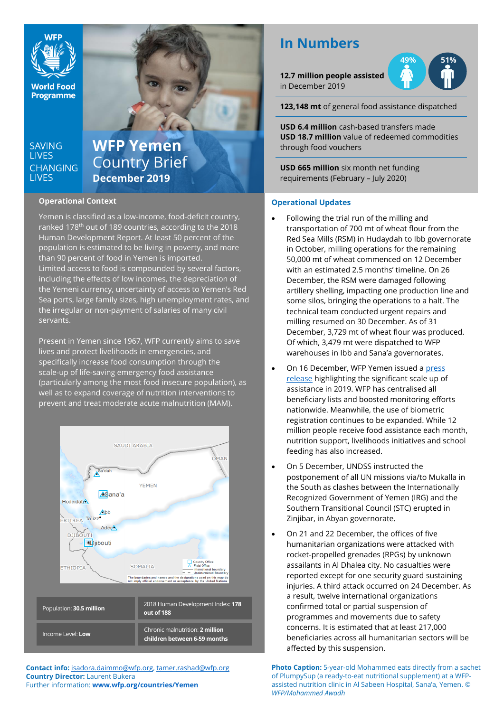

**World Food Programme** 

## **SAVING LIVES CHANGING LIVES**

# **WFP Yemen** Country Brief **December 2019**

## **Operational Context**

Yemen is classified as a low-income, food-deficit country, ranked 178<sup>th</sup> out of 189 countries, according to the 2018 Human Development Report. At least 50 percent of the population is estimated to be living in poverty, and more than 90 percent of food in Yemen is imported. Limited access to food is compounded by several factors, including the effects of low incomes, the depreciation of the Yemeni currency, uncertainty of access to Yemen's Red Sea ports, large family sizes, high unemployment rates, and the irregular or non-payment of salaries of many civil servants.

Present in Yemen since 1967, WFP currently aims to save lives and protect livelihoods in emergencies, and specifically increase food consumption through the scale-up of life-saving emergency food assistance (particularly among the most food insecure population), as well as to expand coverage of nutrition interventions to prevent and treat moderate acute malnutrition (MAM).



**Contact info:** [isadora.daimmo@wfp.org,](mailto:isadora.daimmo@wfp.org) [tamer.rashad@wfp.org](mailto:tamer.rashad@wfp.org) **Country Director:** Laurent Bukera Further information: **[www.wfp.org/countries/Yemen](http://www.wfp.org/countries/Yemen)**

# **In Numbers**

**12.7 million people assisted**  in December 2019



**123,148 mt** of general food assistance dispatched

**USD 6.4 million** cash-based transfers made **USD 18.7 million** value of redeemed commodities through food vouchers

**USD 665 million** six month net funding requirements (February – July 2020)

## **Operational Updates**

- Following the trial run of the milling and transportation of 700 mt of wheat flour from the Red Sea Mills (RSM) in Hudaydah to Ibb governorate in October, milling operations for the remaining 50,000 mt of wheat commenced on 12 December with an estimated 2.5 months' timeline. On 26 December, the RSM were damaged following artillery shelling, impacting one production line and some silos, bringing the operations to a halt. The technical team conducted urgent repairs and milling resumed on 30 December. As of 31 December, 3,729 mt of wheat flour was produced. Of which, 3,479 mt were dispatched to WFP warehouses in Ibb and Sana'a governorates.
- On 16 December, WFP Yemen issued a [press](https://reliefweb.int/report/yemen/wfp-assistance-rescues-yemen-brink-struggle-continues-millions)  [release](https://reliefweb.int/report/yemen/wfp-assistance-rescues-yemen-brink-struggle-continues-millions) highlighting the significant scale up of assistance in 2019. WFP has centralised all beneficiary lists and boosted monitoring efforts nationwide. Meanwhile, the use of biometric registration continues to be expanded. While 12 million people receive food assistance each month, nutrition support, livelihoods initiatives and school feeding has also increased.
- On 5 December, UNDSS instructed the postponement of all UN missions via/to Mukalla in the South as clashes between the Internationally Recognized Government of Yemen (IRG) and the Southern Transitional Council (STC) erupted in Zinjibar, in Abyan governorate.
- On 21 and 22 December, the offices of five humanitarian organizations were attacked with rocket-propelled grenades (RPGs) by unknown assailants in Al Dhalea city. No casualties were reported except for one security guard sustaining injuries. A third attack occurred on 24 December. As a result, twelve international organizations confirmed total or partial suspension of programmes and movements due to safety concerns. It is estimated that at least 217,000 beneficiaries across all humanitarian sectors will be affected by this suspension.

**Photo Caption:** 5-year-old Mohammed eats directly from a sachet of PlumpySup (a ready-to-eat nutritional supplement) at a WFPassisted nutrition clinic in Al Sabeen Hospital, Sana'a, Yemen. © *WFP/Mohammed Awadh*